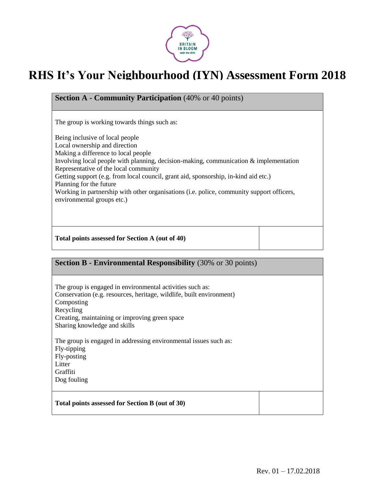

## **RHS It's Your Neighbourhood (IYN) Assessment Form 2018**

**Section A - Community Participation** (40% or 40 points)

The group is working towards things such as:

Being inclusive of local people Local ownership and direction Making a difference to local people Involving local people with planning, decision-making, communication & implementation Representative of the local community Getting support (e.g. from local council, grant aid, sponsorship, in-kind aid etc.) Planning for the future Working in partnership with other organisations (i.e. police, community support officers, environmental groups etc.)

**Total points assessed for Section A (out of 40)**

| <b>Section B - Environmental Responsibility</b> (30% or 30 points) |  |
|--------------------------------------------------------------------|--|
|--------------------------------------------------------------------|--|

The group is engaged in environmental activities such as: Conservation (e.g. resources, heritage, wildlife, built environment) Composting Recycling Creating, maintaining or improving green space Sharing knowledge and skills

The group is engaged in addressing environmental issues such as: Fly-tipping Fly-posting Litter Graffiti Dog fouling

**Total points assessed for Section B (out of 30)**